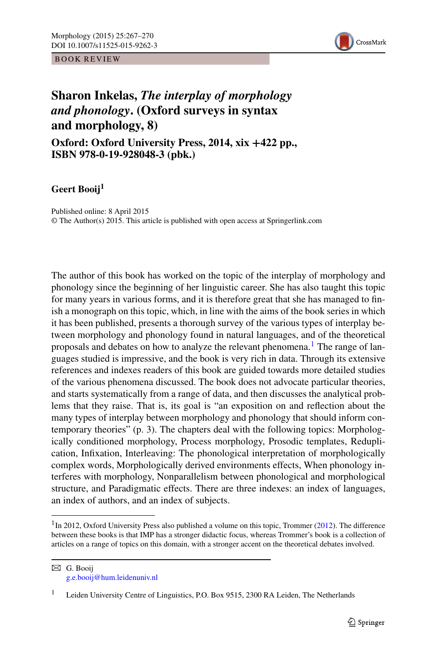BOOK REVIEW



## **Sharon Inkelas,** *The interplay of morphology and phonology***. (Oxford surveys in syntax and morphology, 8)**

**Oxford: Oxford University Press, 2014, xix +422 pp., ISBN 978-0-19-928048-3 (pbk.)**

**Geert Booij1**

Published online: 8 April 2015 © The Author(s) 2015. This article is published with open access at Springerlink.com

The author of this book has worked on the topic of the interplay of morphology and phonology since the beginning of her linguistic career. She has also taught this topic for many years in various forms, and it is therefore great that she has managed to finish a monograph on this topic, which, in line with the aims of the book series in which it has been published, presents a thorough survey of the various types of interplay between morphology and phonology found in natural languages, and of the theoretical proposals and debates on how to analyze the relevant phenomena.<sup>[1](#page-0-0)</sup> The range of languages studied is impressive, and the book is very rich in data. Through its extensive references and indexes readers of this book are guided towards more detailed studies of the various phenomena discussed. The book does not advocate particular theories, and starts systematically from a range of data, and then discusses the analytical problems that they raise. That is, its goal is "an exposition on and reflection about the many types of interplay between morphology and phonology that should inform contemporary theories" (p. 3). The chapters deal with the following topics: Morphologically conditioned morphology, Process morphology, Prosodic templates, Reduplication, Infixation, Interleaving: The phonological interpretation of morphologically complex words, Morphologically derived environments effects, When phonology interferes with morphology, Nonparallelism between phonological and morphological structure, and Paradigmatic effects. There are three indexes: an index of languages, an index of authors, and an index of subjects.

<span id="page-0-0"></span> $1$ In 2012, Oxford University Press also published a volume on this topic, Trommer ([2012\)](#page-3-0). The difference between these books is that IMP has a stronger didactic focus, whereas Trommer's book is a collection of articles on a range of topics on this domain, with a stronger accent on the theoretical debates involved.

B G. Booij [g.e.booij@hum.leidenuniv.nl](mailto:g.e.booij@hum.leidenuniv.nl)

<sup>1</sup> Leiden University Centre of Linguistics, P.O. Box 9515, 2300 RA Leiden, The Netherlands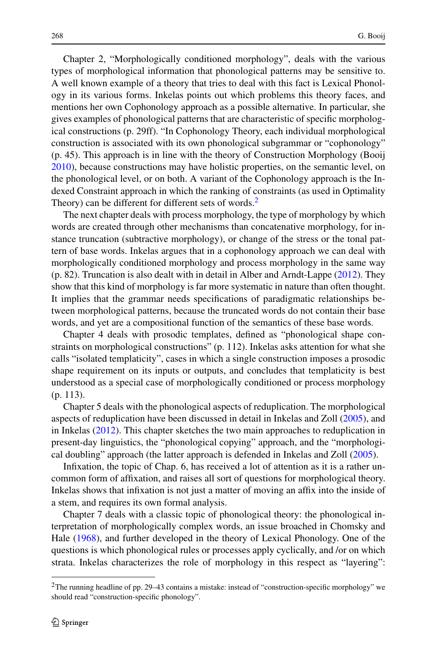Chapter 2, "Morphologically conditioned morphology", deals with the various types of morphological information that phonological patterns may be sensitive to. A well known example of a theory that tries to deal with this fact is Lexical Phonology in its various forms. Inkelas points out which problems this theory faces, and mentions her own Cophonology approach as a possible alternative. In particular, she gives examples of phonological patterns that are characteristic of specific morphological constructions (p. 29ff). "In Cophonology Theory, each individual morphological construction is associated with its own phonological subgrammar or "cophonology" (p. 45). This approach is in line with the theory of Construction Morphology (Booij [2010\)](#page-3-1), because constructions may have holistic properties, on the semantic level, on the phonological level, or on both. A variant of the Cophonology approach is the Indexed Constraint approach in which the ranking of constraints (as used in Optimality Theory) can be different for different sets of words.<sup>[2](#page-1-0)</sup>

The next chapter deals with process morphology, the type of morphology by which words are created through other mechanisms than concatenative morphology, for instance truncation (subtractive morphology), or change of the stress or the tonal pattern of base words. Inkelas argues that in a cophonology approach we can deal with morphologically conditioned morphology and process morphology in the same way (p. 82). Truncation is also dealt with in detail in Alber and Arndt-Lappe [\(2012](#page-3-2)). They show that this kind of morphology is far more systematic in nature than often thought. It implies that the grammar needs specifications of paradigmatic relationships between morphological patterns, because the truncated words do not contain their base words, and yet are a compositional function of the semantics of these base words.

Chapter 4 deals with prosodic templates, defined as "phonological shape constraints on morphological constructions" (p. 112). Inkelas asks attention for what she calls "isolated templaticity", cases in which a single construction imposes a prosodic shape requirement on its inputs or outputs, and concludes that templaticity is best understood as a special case of morphologically conditioned or process morphology (p. 113).

Chapter 5 deals with the phonological aspects of reduplication. The morphological aspects of reduplication have been discussed in detail in Inkelas and Zoll [\(2005\)](#page-3-3), and in Inkelas ([2012\)](#page-3-4). This chapter sketches the two main approaches to reduplication in present-day linguistics, the "phonological copying" approach, and the "morphological doubling" approach (the latter approach is defended in Inkelas and Zoll [\(2005\)](#page-3-3).

Infixation, the topic of Chap. 6, has received a lot of attention as it is a rather uncommon form of affixation, and raises all sort of questions for morphological theory. Inkelas shows that infixation is not just a matter of moving an affix into the inside of a stem, and requires its own formal analysis.

<span id="page-1-0"></span>Chapter 7 deals with a classic topic of phonological theory: the phonological interpretation of morphologically complex words, an issue broached in Chomsky and Hale [\(1968](#page-3-5)), and further developed in the theory of Lexical Phonology. One of the questions is which phonological rules or processes apply cyclically, and /or on which strata. Inkelas characterizes the role of morphology in this respect as "layering":

<sup>&</sup>lt;sup>2</sup>The running headline of pp. 29–43 contains a mistake: instead of "construction-specific morphology" we should read "construction-specific phonology".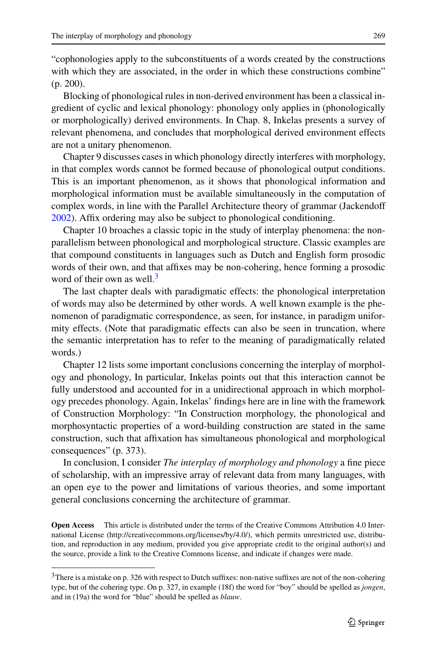"cophonologies apply to the subconstituents of a words created by the constructions with which they are associated, in the order in which these constructions combine" (p. 200).

Blocking of phonological rules in non-derived environment has been a classical ingredient of cyclic and lexical phonology: phonology only applies in (phonologically or morphologically) derived environments. In Chap. 8, Inkelas presents a survey of relevant phenomena, and concludes that morphological derived environment effects are not a unitary phenomenon.

Chapter 9 discusses cases in which phonology directly interferes with morphology, in that complex words cannot be formed because of phonological output conditions. This is an important phenomenon, as it shows that phonological information and morphological information must be available simultaneously in the computation of complex words, in line with the Parallel Architecture theory of grammar (Jackendoff [2002\)](#page-3-6). Affix ordering may also be subject to phonological conditioning.

Chapter 10 broaches a classic topic in the study of interplay phenomena: the nonparallelism between phonological and morphological structure. Classic examples are that compound constituents in languages such as Dutch and English form prosodic words of their own, and that affixes may be non-cohering, hence forming a prosodic word of their own as well.<sup>3</sup>

The last chapter deals with paradigmatic effects: the phonological interpretation of words may also be determined by other words. A well known example is the phenomenon of paradigmatic correspondence, as seen, for instance, in paradigm uniformity effects. (Note that paradigmatic effects can also be seen in truncation, where the semantic interpretation has to refer to the meaning of paradigmatically related words.)

Chapter 12 lists some important conclusions concerning the interplay of morphology and phonology, In particular, Inkelas points out that this interaction cannot be fully understood and accounted for in a unidirectional approach in which morphology precedes phonology. Again, Inkelas' findings here are in line with the framework of Construction Morphology: "In Construction morphology, the phonological and morphosyntactic properties of a word-building construction are stated in the same construction, such that affixation has simultaneous phonological and morphological consequences" (p. 373).

<span id="page-2-0"></span>In conclusion, I consider *The interplay of morphology and phonology* a fine piece of scholarship, with an impressive array of relevant data from many languages, with an open eye to the power and limitations of various theories, and some important general conclusions concerning the architecture of grammar.

**Open Access** This article is distributed under the terms of the Creative Commons Attribution 4.0 International License (http://creativecommons.org/licenses/by/4.0/), which permits unrestricted use, distribution, and reproduction in any medium, provided you give appropriate credit to the original author(s) and the source, provide a link to the Creative Commons license, and indicate if changes were made.

<sup>&</sup>lt;sup>3</sup>There is a mistake on p. 326 with respect to Dutch suffixes: non-native suffixes are not of the non-cohering type, but of the cohering type. On p. 327, in example (18f) the word for "boy" should be spelled as *jongen*, and in (19a) the word for "blue" should be spelled as *blauw*.